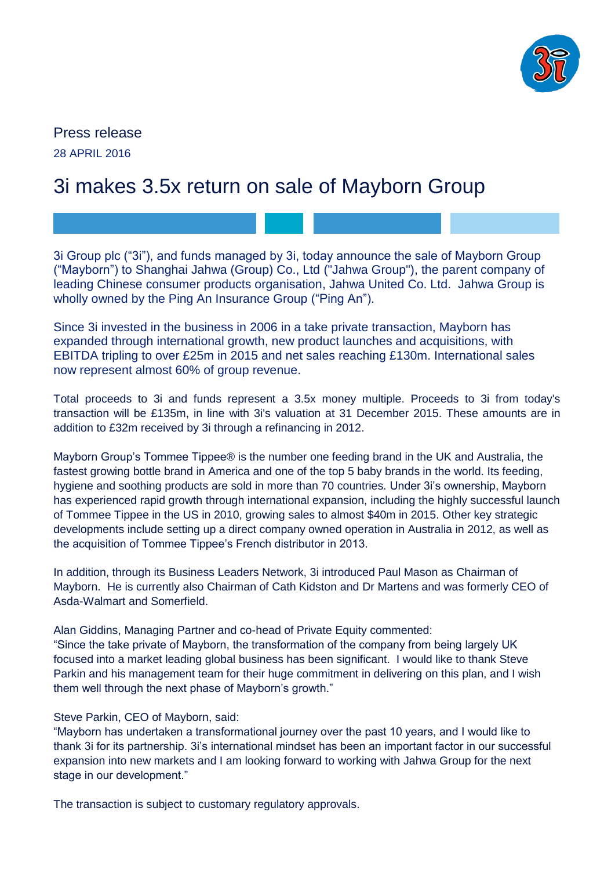

Press release 28 APRIL 2016

# 3i makes 3.5x return on sale of Mayborn Group

3i Group plc ("3i"), and funds managed by 3i, today announce the sale of Mayborn Group ("Mayborn") to Shanghai Jahwa (Group) Co., Ltd ("Jahwa Group"), the parent company of leading Chinese consumer products organisation, Jahwa United Co. Ltd. Jahwa Group is wholly owned by the Ping An Insurance Group ("Ping An").

Since 3i invested in the business in 2006 in a take private transaction, Mayborn has expanded through international growth, new product launches and acquisitions, with EBITDA tripling to over £25m in 2015 and net sales reaching £130m. International sales now represent almost 60% of group revenue.

Total proceeds to 3i and funds represent a 3.5x money multiple. Proceeds to 3i from today's transaction will be £135m, in line with 3i's valuation at 31 December 2015. These amounts are in addition to £32m received by 3i through a refinancing in 2012.

Mayborn Group's Tommee Tippee® is the number one feeding brand in the UK and Australia, the fastest growing bottle brand in America and one of the top 5 baby brands in the world. Its feeding, hygiene and soothing products are sold in more than 70 countries. Under 3i's ownership, Mayborn has experienced rapid growth through international expansion, including the highly successful launch of Tommee Tippee in the US in 2010, growing sales to almost \$40m in 2015. Other key strategic developments include setting up a direct company owned operation in Australia in 2012, as well as the acquisition of Tommee Tippee's French distributor in 2013.

In addition, through its Business Leaders Network, 3i introduced Paul Mason as Chairman of Mayborn. He is currently also Chairman of Cath Kidston and Dr Martens and was formerly CEO of Asda-Walmart and Somerfield.

Alan Giddins, Managing Partner and co-head of Private Equity commented: "Since the take private of Mayborn, the transformation of the company from being largely UK focused into a market leading global business has been significant. I would like to thank Steve Parkin and his management team for their huge commitment in delivering on this plan, and I wish them well through the next phase of Mayborn's growth."

## Steve Parkin, CEO of Mayborn, said:

"Mayborn has undertaken a transformational journey over the past 10 years, and I would like to thank 3i for its partnership. 3i's international mindset has been an important factor in our successful expansion into new markets and I am looking forward to working with Jahwa Group for the next stage in our development."

The transaction is subject to customary regulatory approvals.